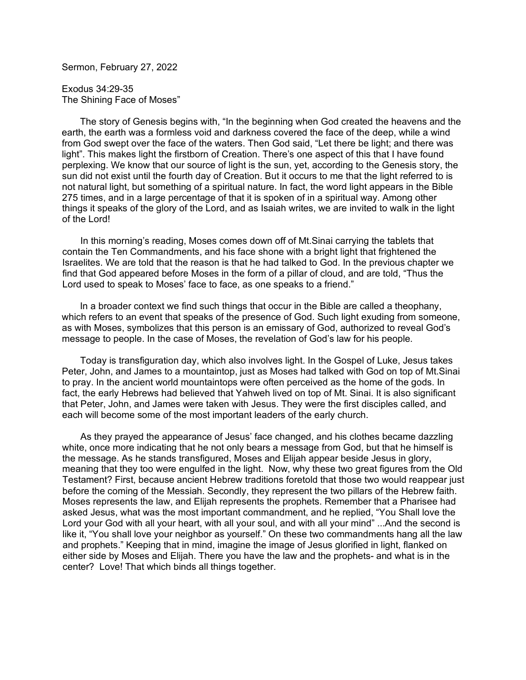Sermon, February 27, 2022

Exodus 34:29-35 The Shining Face of Moses"

 The story of Genesis begins with, "In the beginning when God created the heavens and the earth, the earth was a formless void and darkness covered the face of the deep, while a wind from God swept over the face of the waters. Then God said, "Let there be light; and there was light". This makes light the firstborn of Creation. There's one aspect of this that I have found perplexing. We know that our source of light is the sun, yet, according to the Genesis story, the sun did not exist until the fourth day of Creation. But it occurs to me that the light referred to is not natural light, but something of a spiritual nature. In fact, the word light appears in the Bible 275 times, and in a large percentage of that it is spoken of in a spiritual way. Among other things it speaks of the glory of the Lord, and as Isaiah writes, we are invited to walk in the light of the Lord!

 In this morning's reading, Moses comes down off of Mt.Sinai carrying the tablets that contain the Ten Commandments, and his face shone with a bright light that frightened the Israelites. We are told that the reason is that he had talked to God. In the previous chapter we find that God appeared before Moses in the form of a pillar of cloud, and are told, "Thus the Lord used to speak to Moses' face to face, as one speaks to a friend."

 In a broader context we find such things that occur in the Bible are called a theophany, which refers to an event that speaks of the presence of God. Such light exuding from someone, as with Moses, symbolizes that this person is an emissary of God, authorized to reveal God's message to people. In the case of Moses, the revelation of God's law for his people.

 Today is transfiguration day, which also involves light. In the Gospel of Luke, Jesus takes Peter, John, and James to a mountaintop, just as Moses had talked with God on top of Mt.Sinai to pray. In the ancient world mountaintops were often perceived as the home of the gods. In fact, the early Hebrews had believed that Yahweh lived on top of Mt. Sinai. It is also significant that Peter, John, and James were taken with Jesus. They were the first disciples called, and each will become some of the most important leaders of the early church.

 As they prayed the appearance of Jesus' face changed, and his clothes became dazzling white, once more indicating that he not only bears a message from God, but that he himself is the message. As he stands transfigured, Moses and Elijah appear beside Jesus in glory, meaning that they too were engulfed in the light. Now, why these two great figures from the Old Testament? First, because ancient Hebrew traditions foretold that those two would reappear just before the coming of the Messiah. Secondly, they represent the two pillars of the Hebrew faith. Moses represents the law, and Elijah represents the prophets. Remember that a Pharisee had asked Jesus, what was the most important commandment, and he replied, "You Shall love the Lord your God with all your heart, with all your soul, and with all your mind" ...And the second is like it, "You shall love your neighbor as yourself." On these two commandments hang all the law and prophets." Keeping that in mind, imagine the image of Jesus glorified in light, flanked on either side by Moses and Elijah. There you have the law and the prophets- and what is in the center? Love! That which binds all things together.